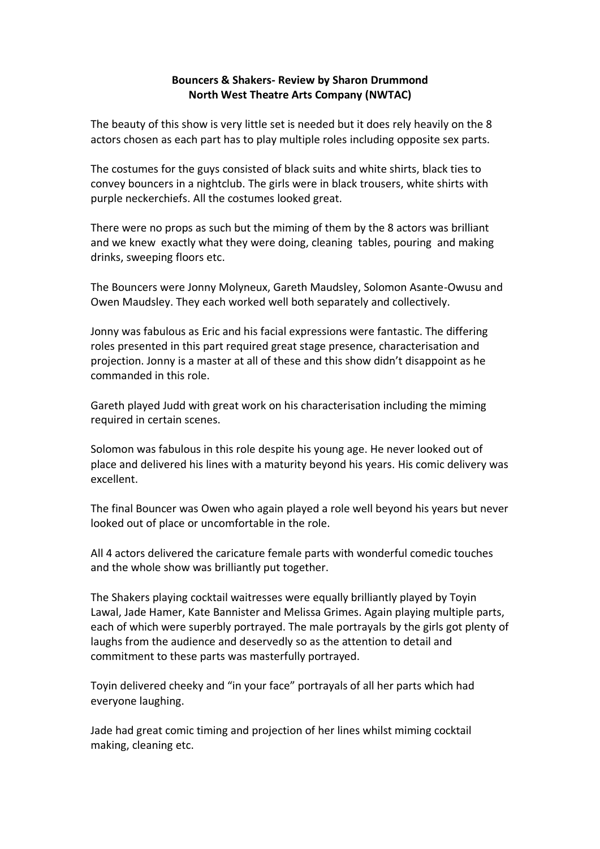## **Bouncers & Shakers- Review by Sharon Drummond North West Theatre Arts Company (NWTAC)**

The beauty of this show is very little set is needed but it does rely heavily on the 8 actors chosen as each part has to play multiple roles including opposite sex parts.

The costumes for the guys consisted of black suits and white shirts, black ties to convey bouncers in a nightclub. The girls were in black trousers, white shirts with purple neckerchiefs. All the costumes looked great.

There were no props as such but the miming of them by the 8 actors was brilliant and we knew exactly what they were doing, cleaning tables, pouring and making drinks, sweeping floors etc.

The Bouncers were Jonny Molyneux, Gareth Maudsley, Solomon Asante-Owusu and Owen Maudsley. They each worked well both separately and collectively.

Jonny was fabulous as Eric and his facial expressions were fantastic. The differing roles presented in this part required great stage presence, characterisation and projection. Jonny is a master at all of these and this show didn't disappoint as he commanded in this role.

Gareth played Judd with great work on his characterisation including the miming required in certain scenes.

Solomon was fabulous in this role despite his young age. He never looked out of place and delivered his lines with a maturity beyond his years. His comic delivery was excellent.

The final Bouncer was Owen who again played a role well beyond his years but never looked out of place or uncomfortable in the role.

All 4 actors delivered the caricature female parts with wonderful comedic touches and the whole show was brilliantly put together.

The Shakers playing cocktail waitresses were equally brilliantly played by Toyin Lawal, Jade Hamer, Kate Bannister and Melissa Grimes. Again playing multiple parts, each of which were superbly portrayed. The male portrayals by the girls got plenty of laughs from the audience and deservedly so as the attention to detail and commitment to these parts was masterfully portrayed.

Toyin delivered cheeky and "in your face" portrayals of all her parts which had everyone laughing.

Jade had great comic timing and projection of her lines whilst miming cocktail making, cleaning etc.